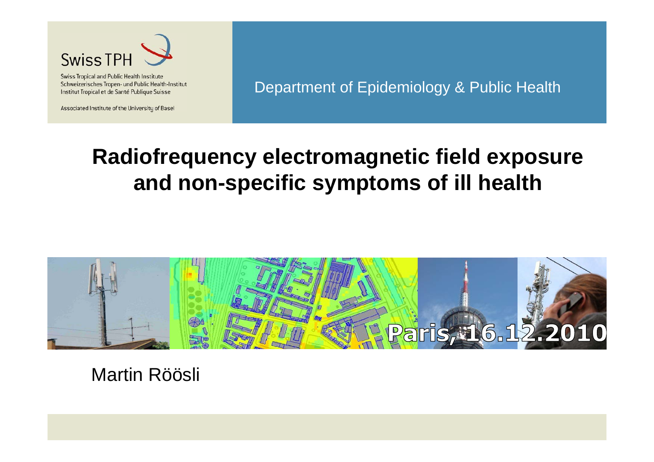

Swiss Tropical and Public Health Institute Schweizerisches Tropen- und Public Health-Institut Institut Tropical et de Santé Publique Suisse

Associated Institute of the University of Basel

Department of Epidemiology & Public Health

### **Radiofrequency electromagnetic field exposure and non-specific symptoms of ill health**



Martin Röösli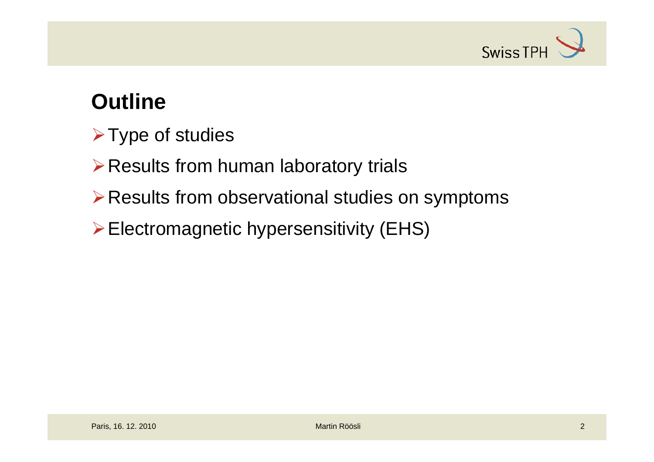

## **Outline**

- $\triangleright$  Type of studies
- **≻ Results from human laboratory trials**
- ¾Results from observational studies on symptoms
- ¾Electromagnetic hypersensitivity (EHS)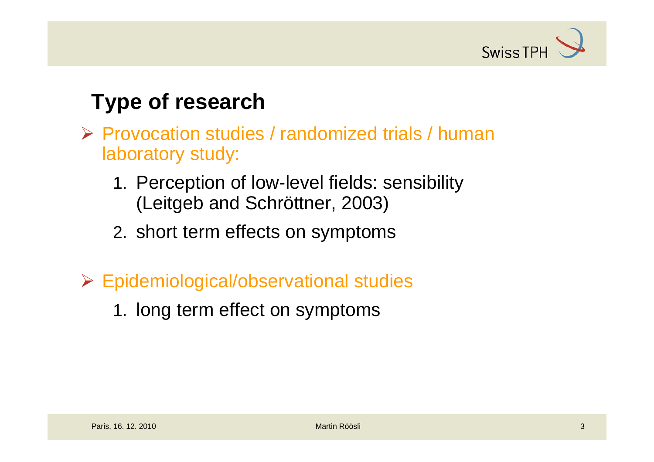

### **Type of research**

- ¾ Provocation studies / randomized trials / human laboratory study:
	- 1. Perception of low-level fields: sensibility (Leitgeb and Schröttner, 2003)
	- 2. short term effects on symptoms
- ¾ Epidemiological/observational studies
	- 1. long term effect on symptoms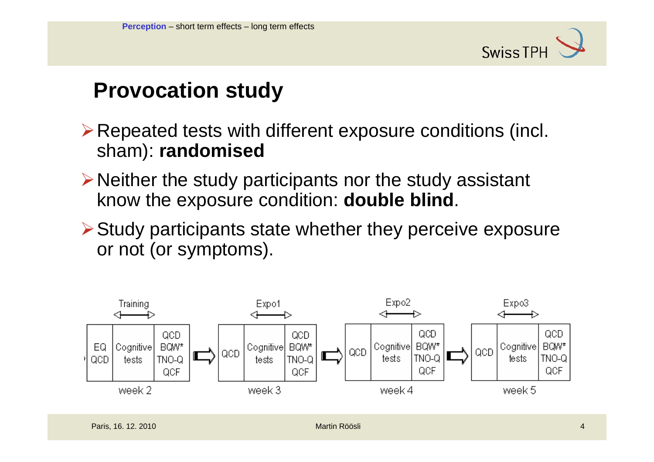

### **Provocation study**

¾Repeated tests with different exposure conditions (incl. sham): **randomised**

- $\triangleright$  Neither the study participants nor the study assistant know the exposure condition: **double blind**.
- $\triangleright$  Study participants state whether they perceive exposure or not (or symptoms).

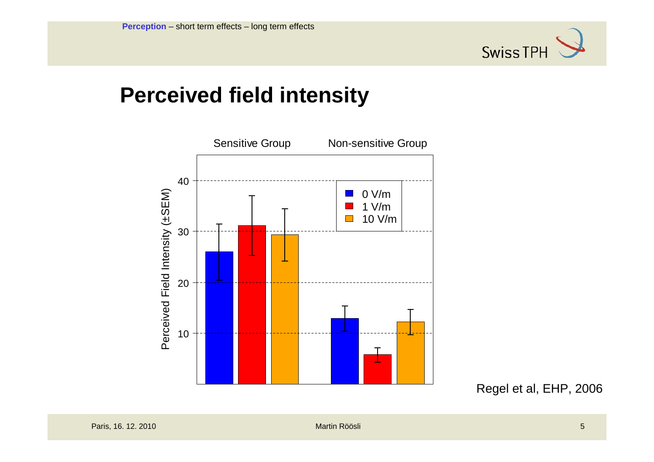

### **Perceived field intensity**



Regel et al, EHP, 2006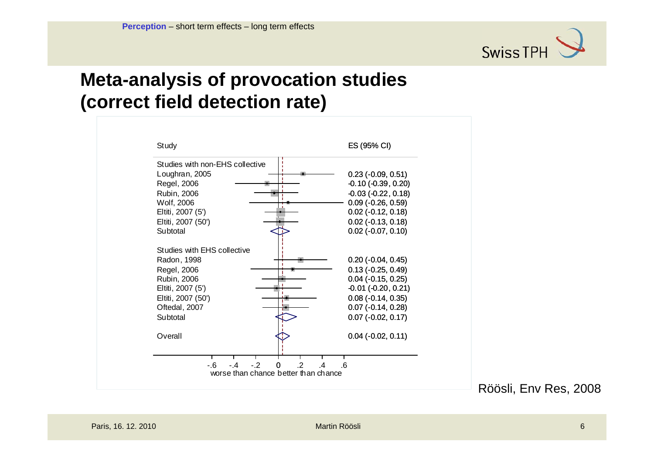

#### **Meta-analysis of provocation studies (correct field detection rate)**



Röösli, Env Res, 2008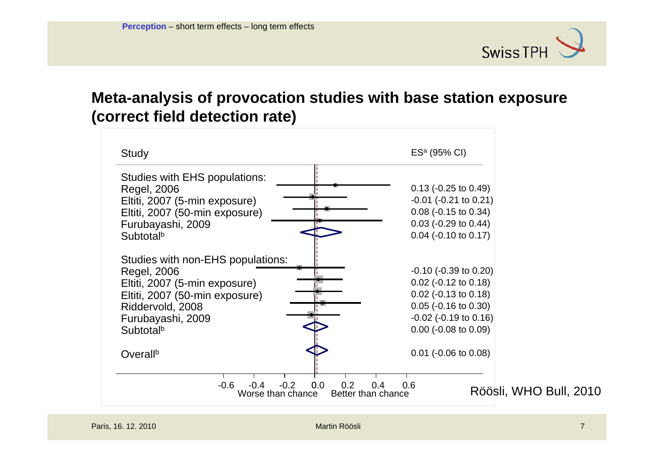

#### **Meta-analysis of provocation studies with base station exposure (correct field detection rate)**

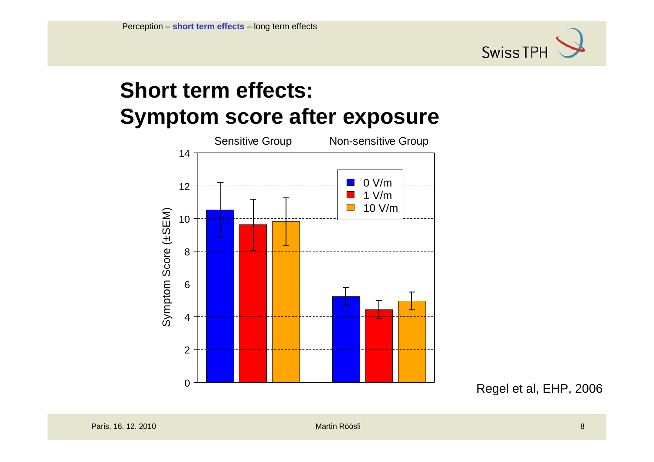

### **Short term effects: Symptom score after exposure**



Regel et al, EHP, 2006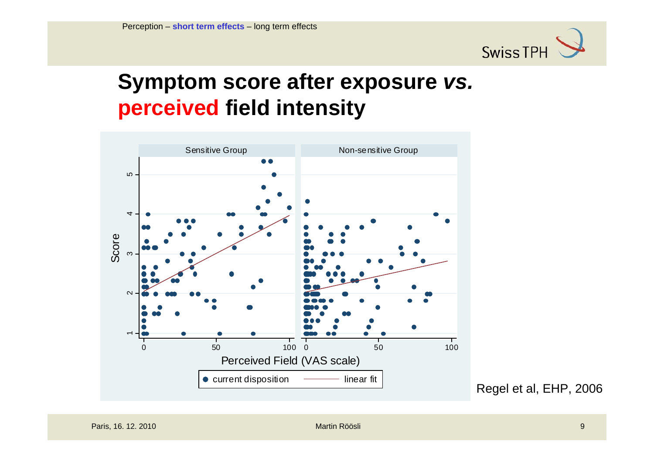

### **Symptom score after exposure** *vs.* **perceived field intensity**



Regel et al, EHP, 2006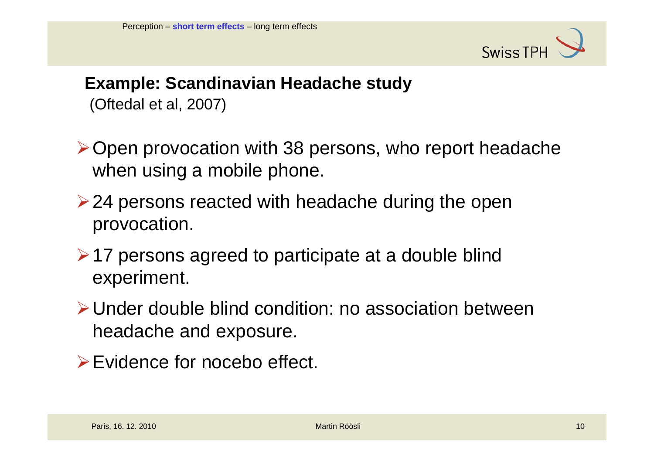

#### **Example: Scandinavian Headache study** (Oftedal et al, 2007)

- ¾Open provocation with 38 persons, who report headache when using a mobile phone.
- $\geq$  24 persons reacted with headache during the open provocation.
- ¾17 persons agreed to participate at a double blind experiment.
- ¾Under double blind condition: no association between headache and exposure.
- ¾Evidence for nocebo effect.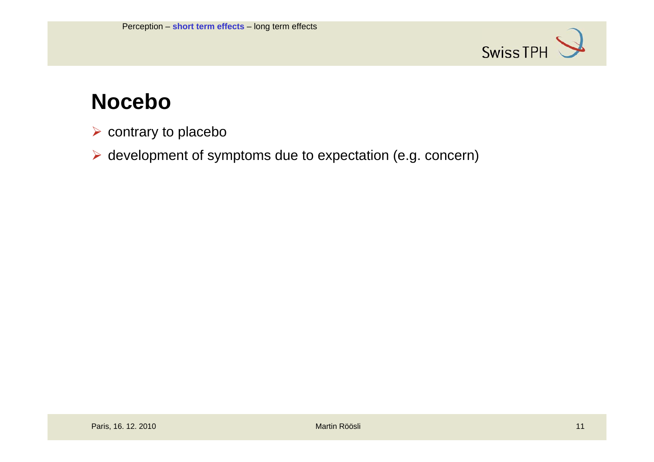

### **Nocebo**

- $\triangleright$  contrary to placebo
- ¾ development of symptoms due to expectation (e.g. concern)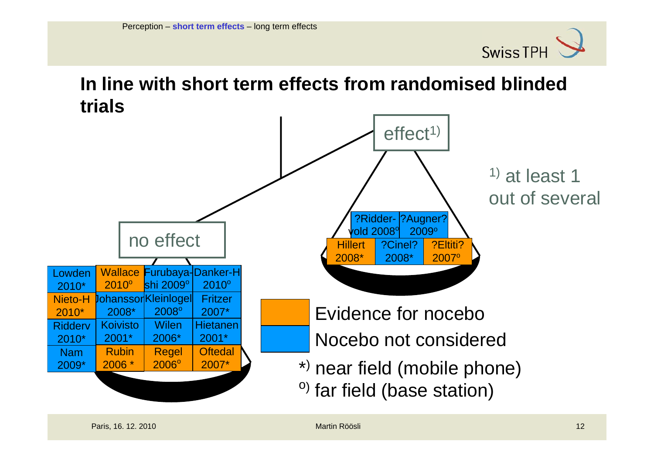

#### **In line with short term effects from randomised blindedtrials**

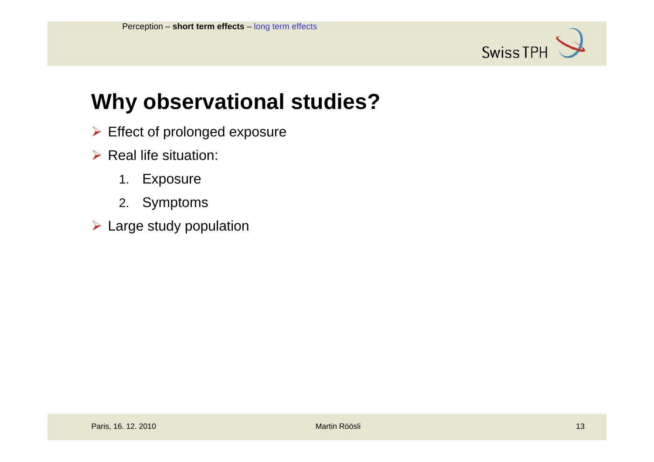

### **Why observational studies?**

- $\triangleright$  Effect of prolonged exposure
- $\triangleright$  Real life situation:
	- 1.Exposure
	- 2. Symptoms
- $\triangleright$  Large study population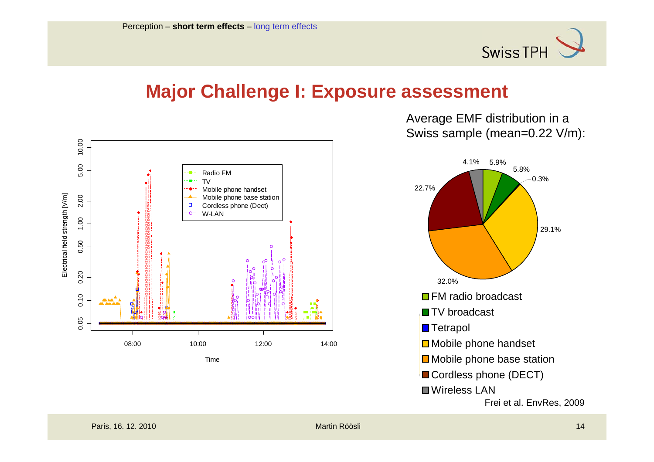

#### **Major Challenge I: Exposure assessment**



Average EMF distribution in a Swiss sample (mean=0.22 V/m):

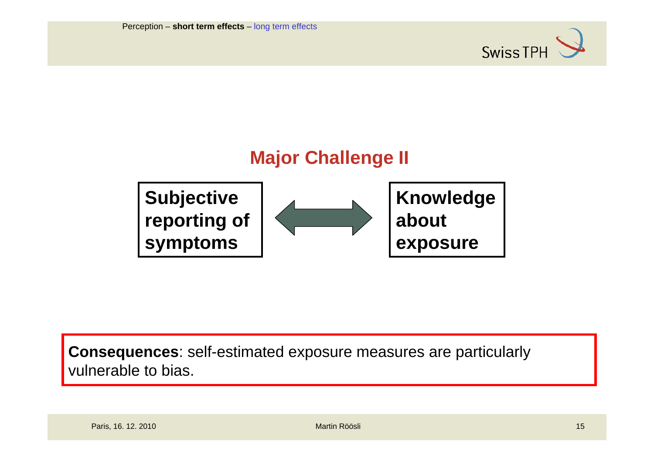



**Consequences**: self-estimated exposure measures are particularly vulnerable to bias.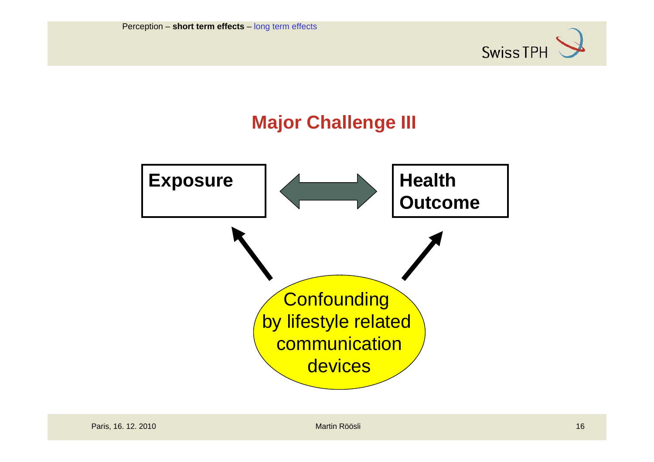

### **Major Challenge III**

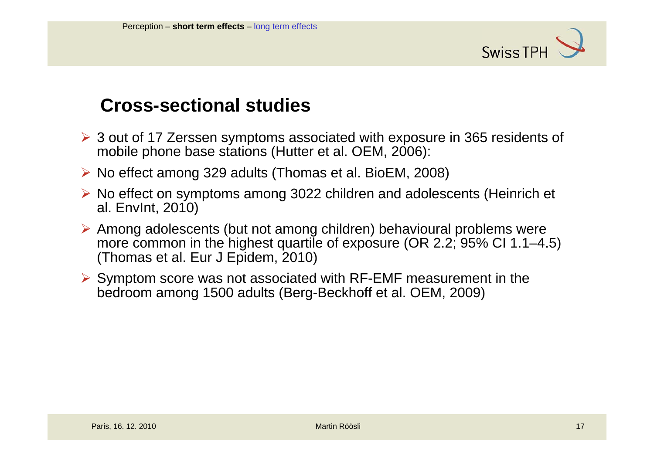

#### **Cross-sectional studies**

- ¾ 3 out of 17 Zerssen symptoms associated with exposure in 365 residents of mobile phone base stations (Hutter et al. OEM, 2006):
- ¾ No effect among 329 adults (Thomas et al. BioEM, 2008)
- ¾ No effect on symptoms among 3022 children and adolescents (Heinrich et al. EnvInt, 2010)
- ¾ Among adolescents (but not among children) behavioural problems were more common in the highest quartile of exposure (OR 2.2; 95% CI 1.1–4.5) (Thomas et al. Eur J Epidem, 2010)
- ¾ Symptom score was not associated with RF-EMF measurement in the bedroom among 1500 adults (Berg-Beckhoff et al. OEM, 2009)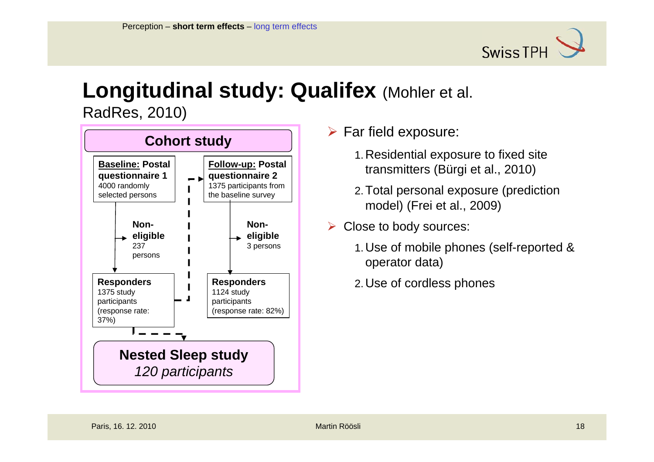

## **Longitudinal study: Qualifex** (Mohler et al.

RadRes, 2010)



- 1.Residential exposure to fixed site transmitters (Bürgi et al., 2010)
- 2.Total personal exposure (prediction model) (Frei et al., 2009)
- $\triangleright$  Close to body sources:
	- 1.Use of mobile phones (self-reported & operator data)
	- 2.Use of cordless phones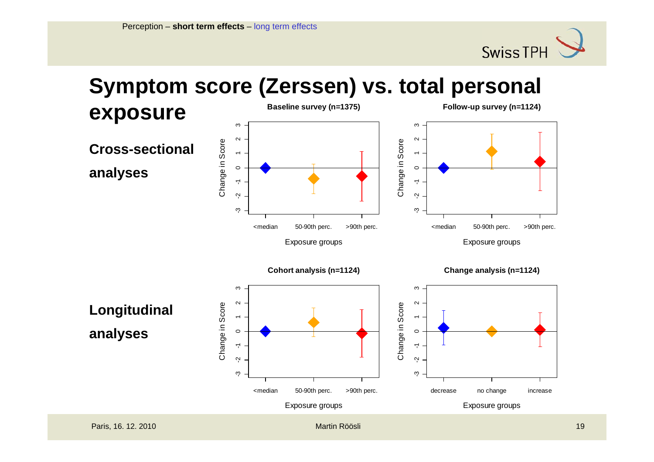

## **Symptom score (Zerssen) vs. total personal**

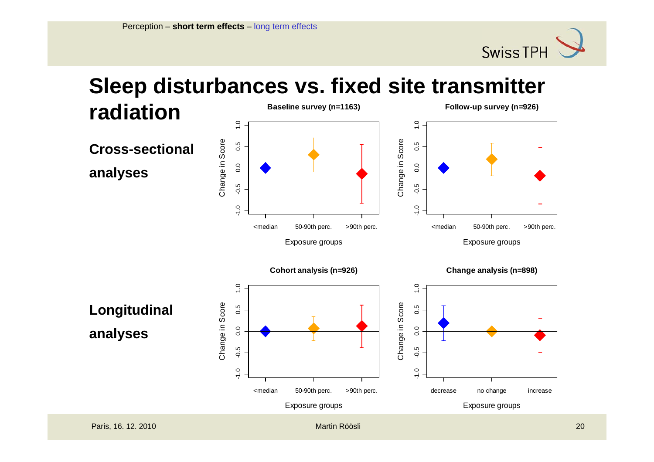

# **Sleep disturbances vs. fixed site transmitter**

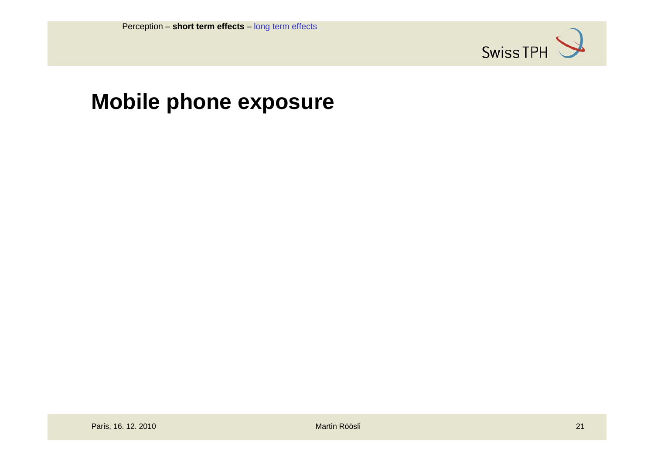

### **Mobile phone exposure**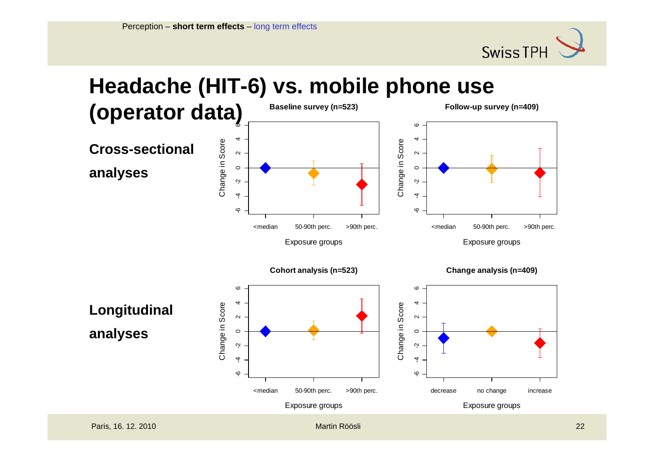

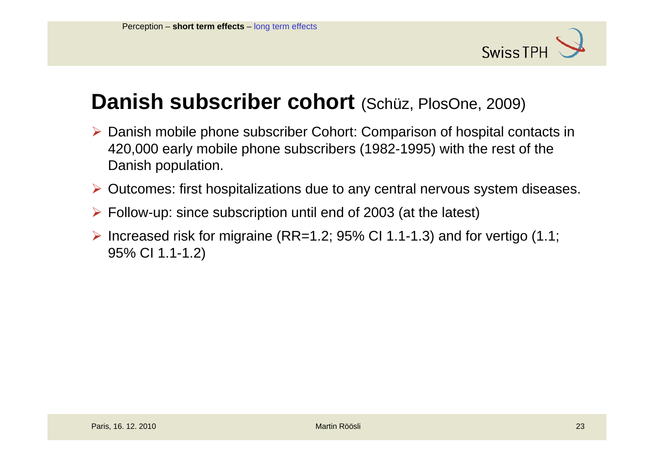

### **Danish subscriber cohort** (Schüz, PlosOne, 2009)

- ¾ Danish mobile phone subscriber Cohort: Comparison of hospital contacts in 420,000 early mobile phone subscribers (1982-1995) with the rest of the Danish population.
- ¾ Outcomes: first hospitalizations due to any central nervous system diseases.
- ¾ Follow-up: since subscription until end of 2003 (at the latest)
- $\triangleright$  Increased risk for migraine (RR=1.2; 95% CI 1.1-1.3) and for vertigo (1.1; 95% CI 1.1-1.2)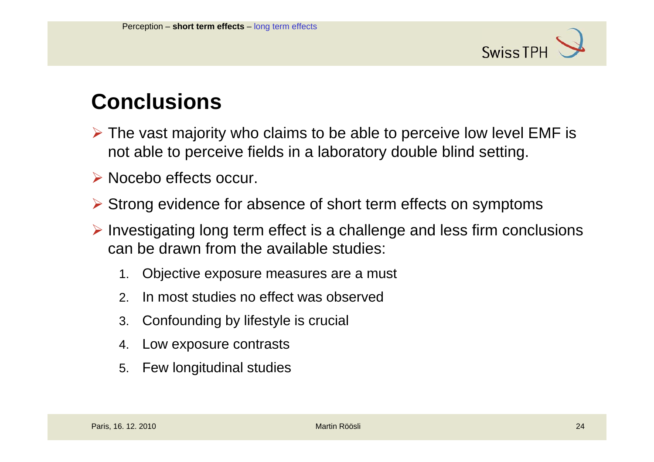

### **Conclusions**

- $\triangleright$  The vast majority who claims to be able to perceive low level EMF is not able to perceive fields in a laboratory double blind setting.
- ¾ Nocebo effects occur.
- ¾ Strong evidence for absence of short term effects on symptoms
- ¾ Investigating long term effect is a challenge and less firm conclusions can be drawn from the available studies:
	- 1.Objective exposure measures are a must
	- 2.In most studies no effect was observed
	- 3. Confounding by lifestyle is crucial
	- 4.Low exposure contrasts
	- 5. Few longitudinal studies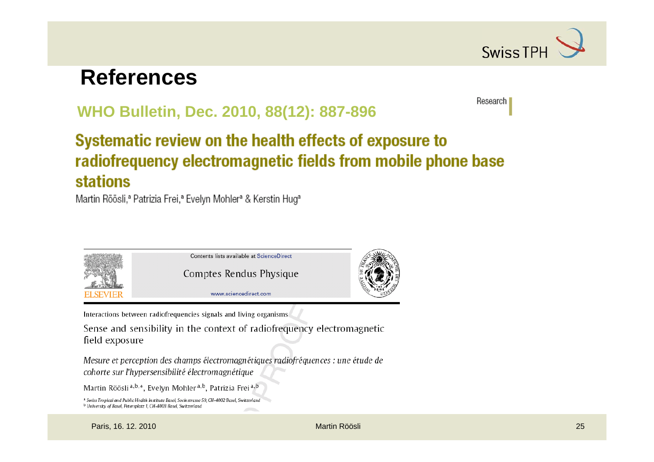

Research |

### **References**

#### **WHO Bulletin, Dec. 2010, 88(12): 887-896**

#### Systematic review on the health effects of exposure to radiofrequency electromagnetic fields from mobile phone base **stations**

Martin Röösli,<sup>a</sup> Patrizia Frei,<sup>a</sup> Evelyn Mohler<sup>a</sup> & Kerstin Hug<sup>a</sup>



Interactions between radiofrequencies signals and living organisms

Sense and sensibility in the context of radiofrequency electromagnetic field exposure

Mesure et perception des champs électromagnétiques radiofréquences : une étude de cohorte sur l'hypersensibilité électromagnétique

Martin Röösli<sup>a,b,\*</sup>, Evelyn Mohler<sup>a,b</sup>, Patrizia Frei<sup>a,b</sup>

```
<sup>a</sup> Swiss Tropical and Public Health Institute Basel, Socinstrasse 59, CH-4002 Basel, Switzerland
<sup>b</sup> University of Basel, Petersplatz 1, CH-4003 Basel, Switzerland
```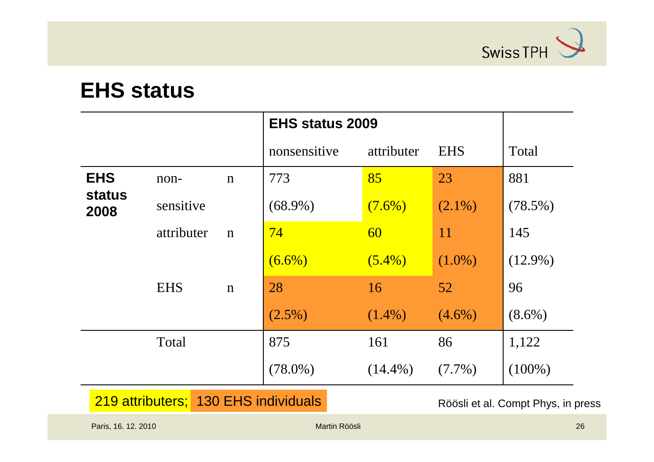

### **EHS status**

|                       |            |             | <b>EHS status 2009</b> |            |            |            |
|-----------------------|------------|-------------|------------------------|------------|------------|------------|
|                       |            |             | nonsensitive           | attributer | <b>EHS</b> | Total      |
| <b>EHS</b>            | non-       | $\mathbf n$ | 773                    | 85         | 23         | 881        |
| <b>status</b><br>2008 | sensitive  |             | $(68.9\%)$             | $(7.6\%)$  | $(2.1\%)$  | $(78.5\%)$ |
|                       | attributer | $\mathbf n$ | 74                     | 60         | 11         | 145        |
|                       |            |             | $(6.6\%)$              | $(5.4\%)$  | $(1.0\%)$  | $(12.9\%)$ |
|                       | <b>EHS</b> | $\mathbf n$ | 28                     | 16         | 52         | 96         |
|                       |            |             | $(2.5\%)$              | $(1.4\%)$  | $(4.6\%)$  | $(8.6\%)$  |
|                       | Total      |             | 875                    | 161        | 86         | 1,122      |
|                       |            |             | $(78.0\%)$             | $(14.4\%)$ | $(7.7\%)$  | $(100\%)$  |

219 attributers; 130 EHS individuals Röösli et al. Compt Phys, in press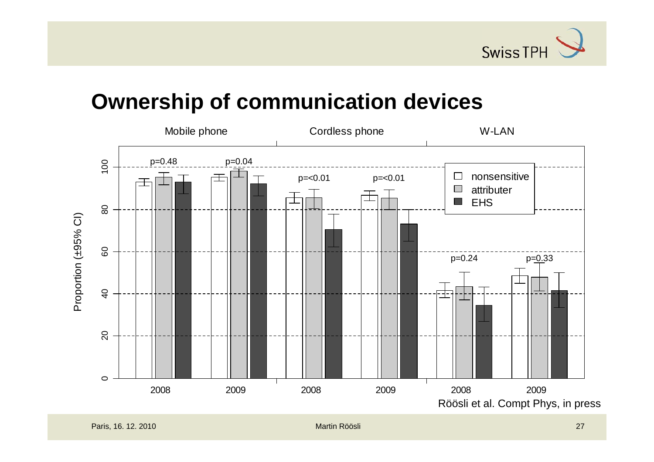

### **Ownership of communication devices**

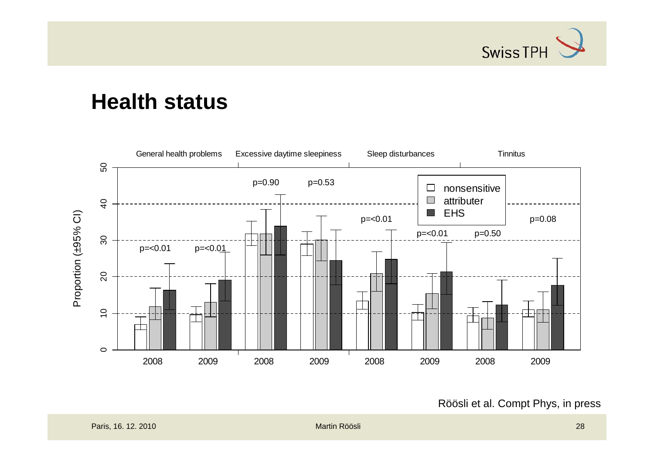

### **Health status**



Röösli et al. Compt Phys, in press